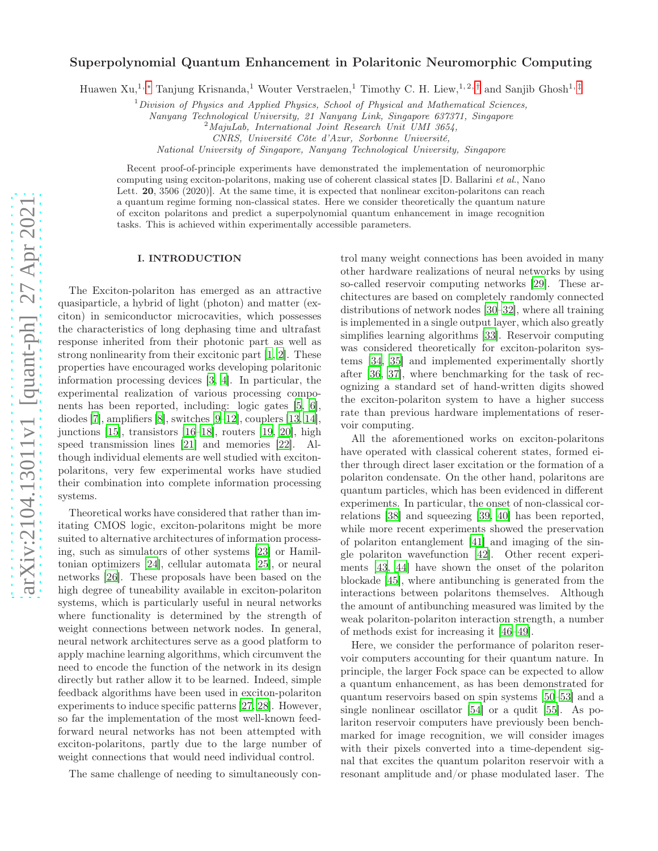# Superpolynomial Quantum Enhancement in Polaritonic Neuromorphic Computing

Huawen Xu,<sup>1,</sup> [∗](#page-6-0) Tanjung Krisnanda,<sup>1</sup> Wouter Verstraelen,<sup>1</sup> Timothy C. H. Liew,<sup>1,2,[†](#page-6-1)</sup> and Sanjib Ghosh<sup>1,[‡](#page-6-2)</sup>

 $1$ Division of Physics and Applied Physics, School of Physical and Mathematical Sciences,

Nanyang Technological University, 21 Nanyang Link, Singapore 637371, Singapore

 $2^2$ MajuLab, International Joint Research Unit UMI 3654,

CNRS, Université Côte d'Azur, Sorbonne Université,

National University of Singapore, Nanyang Technological University, Singapore

Recent proof-of-principle experiments have demonstrated the implementation of neuromorphic computing using exciton-polaritons, making use of coherent classical states [D. Ballarini et al., Nano Lett. **20**, 3506 (2020). At the same time, it is expected that nonlinear exciton-polaritons can reach a quantum regime forming non-classical states. Here we consider theoretically the quantum nature of exciton polaritons and predict a superpolynomial quantum enhancement in image recognition tasks. This is achieved within experimentally accessible parameters.

#### I. INTRODUCTION

The Exciton-polariton has emerged as an attractive quasiparticle, a hybrid of light (photon) and matter (exciton) in semiconductor microcavities, which possesses the characteristics of long dephasing time and ultrafast response inherited from their photonic part as well as strong nonlinearity from their excitonic part [\[1,](#page-6-3) [2\]](#page-6-4). These properties have encouraged works developing polaritonic information processing devices [\[3,](#page-6-5) [4](#page-6-6)]. In particular, the experimental realization of various processing components has been reported, including: logic gates [\[5,](#page-6-7) [6\]](#page-6-8), diodes [\[7](#page-6-9)], amplifiers [\[8\]](#page-6-10), switches [\[9](#page-6-11)[–12](#page-7-0)], couplers [\[13,](#page-7-1) [14\]](#page-7-2), junctions [\[15](#page-7-3)], transistors [\[16](#page-7-4)[–18](#page-7-5)], routers [\[19,](#page-7-6) [20\]](#page-7-7), high speed transmission lines [\[21\]](#page-7-8) and memories [\[22\]](#page-7-9). Although individual elements are well studied with excitonpolaritons, very few experimental works have studied their combination into complete information processing systems.

Theoretical works have considered that rather than imitating CMOS logic, exciton-polaritons might be more suited to alternative architectures of information processing, such as simulators of other systems [\[23\]](#page-7-10) or Hamiltonian optimizers [\[24\]](#page-7-11), cellular automata [\[25\]](#page-7-12), or neural networks [\[26](#page-7-13)]. These proposals have been based on the high degree of tuneability available in exciton-polariton systems, which is particularly useful in neural networks where functionality is determined by the strength of weight connections between network nodes. In general, neural network architectures serve as a good platform to apply machine learning algorithms, which circumvent the need to encode the function of the network in its design directly but rather allow it to be learned. Indeed, simple feedback algorithms have been used in exciton-polariton experiments to induce specific patterns [\[27,](#page-7-14) [28\]](#page-7-15). However, so far the implementation of the most well-known feedforward neural networks has not been attempted with exciton-polaritons, partly due to the large number of weight connections that would need individual control.

The same challenge of needing to simultaneously con-

trol many weight connections has been avoided in many other hardware realizations of neural networks by using so-called reservoir computing networks [\[29\]](#page-7-16). These architectures are based on completely randomly connected distributions of network nodes [\[30](#page-7-17)[–32\]](#page-7-18), where all training is implemented in a single output layer, which also greatly simplifies learning algorithms [\[33](#page-7-19)]. Reservoir computing was considered theoretically for exciton-polariton systems [\[34](#page-7-20), [35](#page-7-21)] and implemented experimentally shortly after [\[36](#page-7-22), [37\]](#page-7-23), where benchmarking for the task of recognizing a standard set of hand-written digits showed the exciton-polariton system to have a higher success rate than previous hardware implementations of reservoir computing.

All the aforementioned works on exciton-polaritons have operated with classical coherent states, formed either through direct laser excitation or the formation of a polariton condensate. On the other hand, polaritons are quantum particles, which has been evidenced in different experiments. In particular, the onset of non-classical correlations [\[38\]](#page-7-24) and squeezing [\[39,](#page-7-25) [40\]](#page-7-26) has been reported, while more recent experiments showed the preservation of polariton entanglement [\[41](#page-7-27)] and imaging of the single polariton wavefunction [\[42](#page-7-28)]. Other recent experiments [\[43,](#page-7-29) [44\]](#page-7-30) have shown the onset of the polariton blockade [\[45\]](#page-7-31), where antibunching is generated from the interactions between polaritons themselves. Although the amount of antibunching measured was limited by the weak polariton-polariton interaction strength, a number of methods exist for increasing it [\[46](#page-7-32)[–49\]](#page-7-33).

Here, we consider the performance of polariton reservoir computers accounting for their quantum nature. In principle, the larger Fock space can be expected to allow a quantum enhancement, as has been demonstrated for quantum reservoirs based on spin systems [\[50–](#page-7-34)[53\]](#page-7-35) and a single nonlinear oscillator [\[54\]](#page-7-36) or a qudit [\[55](#page-7-37)]. As polariton reservoir computers have previously been benchmarked for image recognition, we will consider images with their pixels converted into a time-dependent signal that excites the quantum polariton reservoir with a resonant amplitude and/or phase modulated laser. The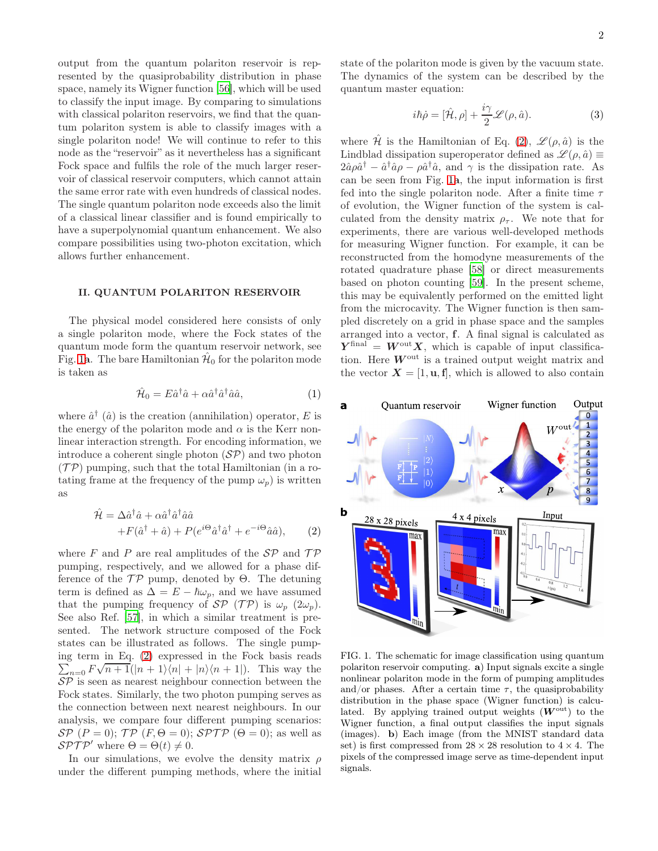output from the quantum polariton reservoir is represented by the quasiprobability distribution in phase space, namely its Wigner function [\[56\]](#page-7-38), which will be used to classify the input image. By comparing to simulations with classical polariton reservoirs, we find that the quantum polariton system is able to classify images with a single polariton node! We will continue to refer to this node as the "reservoir" as it nevertheless has a significant Fock space and fulfils the role of the much larger reservoir of classical reservoir computers, which cannot attain the same error rate with even hundreds of classical nodes. The single quantum polariton node exceeds also the limit of a classical linear classifier and is found empirically to have a superpolynomial quantum enhancement. We also compare possibilities using two-photon excitation, which allows further enhancement.

## II. QUANTUM POLARITON RESERVOIR

The physical model considered here consists of only a single polariton mode, where the Fock states of the quantum mode form the quantum reservoir network, see Fig. [1](#page-6-12)a. The bare Hamiltonian  $\hat{\mathcal{H}}_0$  for the polariton mode is taken as

$$
\hat{\mathcal{H}}_0 = E \hat{a}^\dagger \hat{a} + \alpha \hat{a}^\dagger \hat{a}^\dagger \hat{a} \hat{a},\tag{1}
$$

where  $\hat{a}^{\dagger}$  ( $\hat{a}$ ) is the creation (annihilation) operator, E is the energy of the polariton mode and  $\alpha$  is the Kerr nonlinear interaction strength. For encoding information, we introduce a coherent single photon  $(SP)$  and two photon  $(\mathcal{TP})$  pumping, such that the total Hamiltonian (in a rotating frame at the frequency of the pump  $\omega_p$ ) is written as

<span id="page-1-0"></span>
$$
\hat{\mathcal{H}} = \Delta \hat{a}^{\dagger} \hat{a} + \alpha \hat{a}^{\dagger} \hat{a}^{\dagger} \hat{a} \hat{a} \n+ F(\hat{a}^{\dagger} + \hat{a}) + P(e^{i\Theta} \hat{a}^{\dagger} \hat{a}^{\dagger} + e^{-i\Theta} \hat{a} \hat{a}),
$$
\n(2)

where F and P are real amplitudes of the  $\mathcal{SP}$  and  $\mathcal{TP}$ pumping, respectively, and we allowed for a phase difference of the  $\mathcal{TP}$  pump, denoted by  $\Theta$ . The detuning term is defined as  $\Delta = E - \hbar \omega_p$ , and we have assumed that the pumping frequency of  $\mathcal{SP}(\mathcal{TP})$  is  $\omega_p(2\omega_p)$ . See also Ref. [\[57](#page-7-39)], in which a similar treatment is presented. The network structure composed of the Fock states can be illustrated as follows. The single pumping term in Eq. ( [2\)](#page-1-0) expressed in the Fock basis reads  $\sum_{n=0}^{\infty} \frac{1}{F\sqrt{n+1}}\left(|n+1\rangle\langle n| + |n\rangle\langle n+1|\right).$  This way the  $\mathcal{S}\mathcal{P}$  is seen as nearest neighbour connection between the Fock states. Similarly, the two photon pumping serves as the connection between next nearest neighbours. In our analysis, we compare four different pumping scenarios:  $\mathcal{S}P(P=0); \mathcal{TP}(F,\Theta=0); \mathcal{SPTP}(\Theta=0);$  as well as  $\mathcal{SPTP}'$  where  $\Theta = \Theta(t) \neq 0$ .

In our simulations, we evolve the density matrix  $\rho$ under the different pumping methods, where the initial state of the polariton mode is given by the vacuum state. The dynamics of the system can be described by the quantum master equation:

$$
i\hbar \dot{\rho} = [\hat{\mathcal{H}}, \rho] + \frac{i\gamma}{2} \mathcal{L}(\rho, \hat{a}). \tag{3}
$$

where  $\hat{\mathcal{H}}$  is the Hamiltonian of Eq. [\(2\)](#page-1-0),  $\mathcal{L}(\rho, \hat{a})$  is the Lindblad dissipation superoperator defined as  $\mathscr{L}(\rho,\hat{a}) \equiv$  $2\hat{a}\rho\hat{a}^{\dagger} - \hat{a}^{\dagger}\hat{a}\rho - \rho\hat{a}^{\dagger}\hat{a}$ , and  $\gamma$  is the dissipation rate. As can be seen from Fig. [1](#page-6-12)a, the input information is first fed into the single polariton node. After a finite time  $\tau$ of evolution, the Wigner function of the system is calculated from the density matrix  $\rho_{\tau}$ . We note that for experiments, there are various well-developed methods for measuring Wigner function. For example, it can be reconstructed from the homodyne measurements of the rotated quadrature phase [\[58\]](#page-8-0) or direct measurements based on photon counting [\[59](#page-8-1)]. In the present scheme, this may be equivalently performed on the emitted light from the microcavity. The Wigner function is then sampled discretely on a grid in phase space and the samples arranged into a vector, f. A final signal is calculated as  $Y^{\text{final}} = W^{\text{out}} X$ , which is capable of input classification. Here  $W<sup>out</sup>$  is a trained output weight matrix and the vector  $X = [1, u, f]$ , which is allowed to also contain



FIG. 1. The schematic for image classification using quantum polariton reservoir computing. a) Input signals excite a single nonlinear polariton mode in the form of pumping amplitudes and/or phases. After a certain time  $\tau$ , the quasiprobability distribution in the phase space (Wigner function) is calculated. By applying trained output weights  $(W<sup>out</sup>)$  to the Wigner function, a final output classifies the input signals (images). b) Each image (from the MNIST standard data set) is first compressed from  $28 \times 28$  resolution to  $4 \times 4$ . The pixels of the compressed image serve as time-dependent input signals.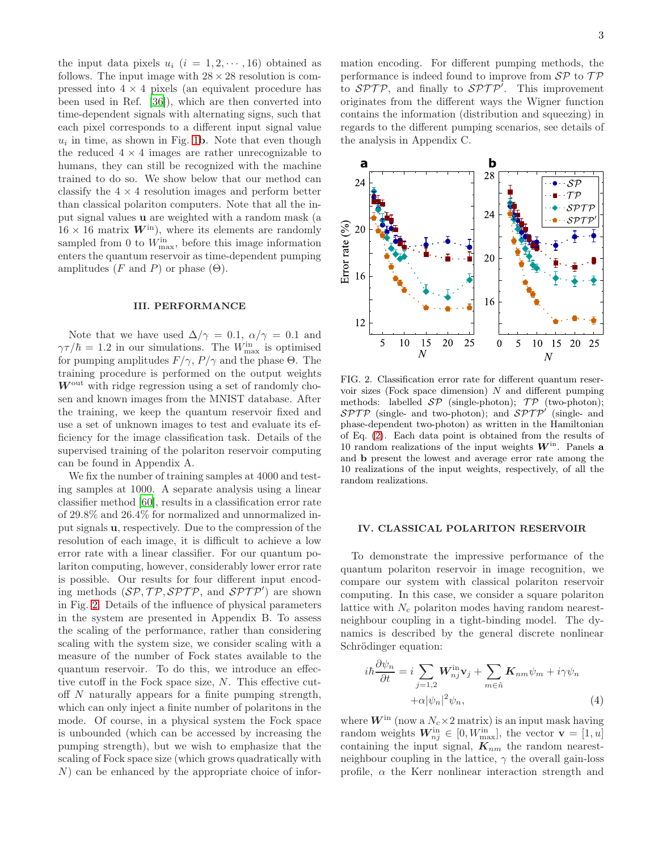the input data pixels  $u_i$   $(i = 1, 2, \dots, 16)$  obtained as follows. The input image with  $28 \times 28$  resolution is compressed into  $4 \times 4$  pixels (an equivalent procedure has been used in Ref. [\[36\]](#page-7-22)), which are then converted into time-dependent signals with alternating signs, such that each pixel corresponds to a different input signal value  $u_i$  in time, as shown in Fig. [1](#page-6-12)b. Note that even though the reduced  $4 \times 4$  images are rather unrecognizable to humans, they can still be recognized with the machine trained to do so. We show below that our method can classify the  $4 \times 4$  resolution images and perform better than classical polariton computers. Note that all the input signal values u are weighted with a random mask (a  $16 \times 16$  matrix  $W^{\text{in}}$ ), where its elements are randomly sampled from 0 to  $W_{\text{max}}^{\text{in}}$ , before this image information enters the quantum reservoir as time-dependent pumping amplitudes (F and P) or phase  $(\Theta)$ .

#### III. PERFORMANCE

Note that we have used  $\Delta/\gamma = 0.1$ ,  $\alpha/\gamma = 0.1$  and  $\gamma \tau / \hbar = 1.2$  in our simulations. The  $W_{\text{max}}^{\text{in}}$  is optimised for pumping amplitudes  $F/\gamma$ ,  $P/\gamma$  and the phase  $\Theta$ . The training procedure is performed on the output weights  $W<sup>out</sup>$  with ridge regression using a set of randomly chosen and known images from the MNIST database. After the training, we keep the quantum reservoir fixed and use a set of unknown images to test and evaluate its efficiency for the image classification task. Details of the supervised training of the polariton reservoir computing can be found in Appendix A.

We fix the number of training samples at 4000 and testing samples at 1000. A separate analysis using a linear classifier method [\[60\]](#page-8-2), results in a classification error rate of 29.8% and 26.4% for normalized and unnormalized input signals u, respectively. Due to the compression of the resolution of each image, it is difficult to achieve a low error rate with a linear classifier. For our quantum polariton computing, however, considerably lower error rate is possible. Our results for four different input encoding methods  $(SP, TP, SPTP, \text{ and } SPTP')$  are shown in Fig. [2.](#page-5-0) Details of the influence of physical parameters in the system are presented in Appendix B. To assess the scaling of the performance, rather than considering scaling with the system size, we consider scaling with a measure of the number of Fock states available to the quantum reservoir. To do this, we introduce an effective cutoff in the Fock space size, N. This effective cutoff N naturally appears for a finite pumping strength, which can only inject a finite number of polaritons in the mode. Of course, in a physical system the Fock space is unbounded (which can be accessed by increasing the pumping strength), but we wish to emphasize that the scaling of Fock space size (which grows quadratically with N) can be enhanced by the appropriate choice of infor-

mation encoding. For different pumping methods, the performance is indeed found to improve from  $\mathcal{SP}$  to  $\mathcal{TP}$ to  $SPTP$ , and finally to  $SPTP'$ . This improvement originates from the different ways the Wigner function contains the information (distribution and squeezing) in regards to the different pumping scenarios, see details of the analysis in Appendix C.



FIG. 2. Classification error rate for different quantum reservoir sizes (Fock space dimension)  $N$  and different pumping methods: labelled  $\mathcal{SP}$  (single-photon);  $\mathcal{TP}$  (two-photon);  $SPTP$  (single- and two-photon); and  $SPTP'$  (single- and phase-dependent two-photon) as written in the Hamiltonian of Eq. [\(2\)](#page-1-0). Each data point is obtained from the results of 10 random realizations of the input weights  $W^{\text{in}}$ . Panels a and b present the lowest and average error rate among the 10 realizations of the input weights, respectively, of all the random realizations.

#### IV. CLASSICAL POLARITON RESERVOIR

To demonstrate the impressive performance of the quantum polariton reservoir in image recognition, we compare our system with classical polariton reservoir computing. In this case, we consider a square polariton lattice with  $N_c$  polariton modes having random nearestneighbour coupling in a tight-binding model. The dynamics is described by the general discrete nonlinear Schrödinger equation:

 $\sim$ 

$$
i\hbar \frac{\partial \psi_n}{\partial t} = i \sum_{j=1,2} \mathbf{W}_{nj}^{\text{in}} \mathbf{v}_j + \sum_{m \in \tilde{n}} \mathbf{K}_{nm} \psi_m + i\gamma \psi_n
$$
  
+ $\alpha |\psi_n|^2 \psi_n,$  (4)

where  $W^{\text{in}}$  (now a  $N_c \times 2$  matrix) is an input mask having random weights  $W_{nj}^{\text{in}} \in [0, W_{\text{max}}^{\text{in}}]$ , the vector  $\mathbf{v} = [1, u]$ containing the input signal,  $K_{nm}$  the random nearestneighbour coupling in the lattice,  $\gamma$  the overall gain-loss profile,  $\alpha$  the Kerr nonlinear interaction strength and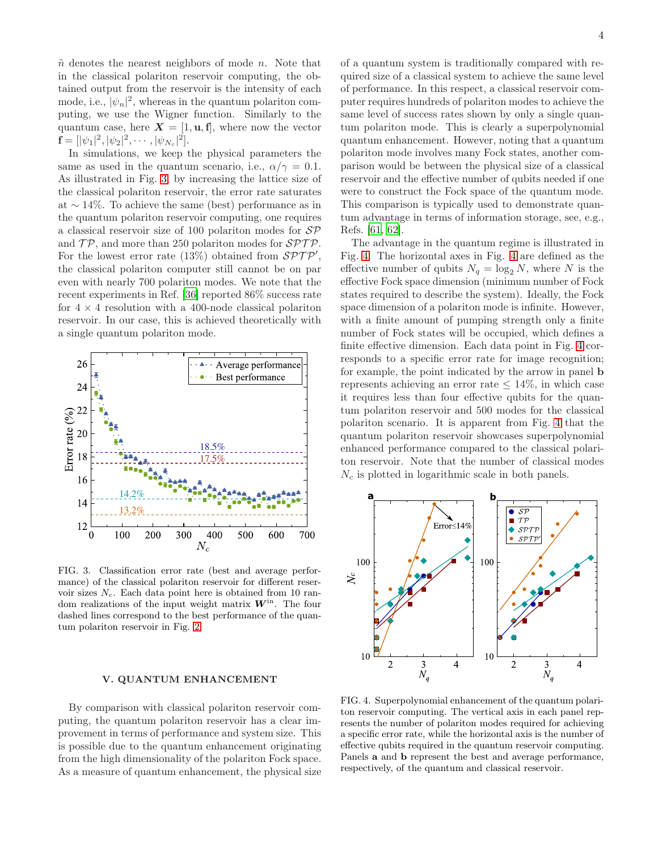$\tilde{n}$  denotes the nearest neighbors of mode n. Note that in the classical polariton reservoir computing, the obtained output from the reservoir is the intensity of each mode, i.e.,  $|\psi_n|^2$ , whereas in the quantum polariton computing, we use the Wigner function. Similarly to the quantum case, here  $X = [1, u, f]$ , where now the vector  $\mathbf{f} = [|\psi_1|^2, |\psi_2|^2, \cdots, |\psi_{N_c}|^2].$ 

In simulations, we keep the physical parameters the same as used in the quantum scenario, i.e.,  $\alpha/\gamma = 0.1$ . As illustrated in Fig. [3,](#page-5-1) by increasing the lattice size of the classical polariton reservoir, the error rate saturates at ∼ 14%. To achieve the same (best) performance as in the quantum polariton reservoir computing, one requires a classical reservoir size of 100 polariton modes for SP and  $\mathcal{TP}$ , and more than 250 polariton modes for  $\mathcal{SPTP}$ . For the lowest error rate (13%) obtained from  $\mathcal{SPTP}'$ , the classical polariton computer still cannot be on par even with nearly 700 polariton modes. We note that the recent experiments in Ref. [\[36\]](#page-7-22) reported 86% success rate for  $4 \times 4$  resolution with a 400-node classical polariton reservoir. In our case, this is achieved theoretically with a single quantum polariton mode.



FIG. 3. Classification error rate (best and average performance) of the classical polariton reservoir for different reservoir sizes  $N_c$ . Each data point here is obtained from 10 random realizations of the input weight matrix  $W<sup>in</sup>$ . The four dashed lines correspond to the best performance of the quantum polariton reservoir in Fig. [2.](#page-5-0)

#### V. QUANTUM ENHANCEMENT

By comparison with classical polariton reservoir computing, the quantum polariton reservoir has a clear improvement in terms of performance and system size. This is possible due to the quantum enhancement originating from the high dimensionality of the polariton Fock space. As a measure of quantum enhancement, the physical size

of a quantum system is traditionally compared with required size of a classical system to achieve the same level of performance. In this respect, a classical reservoir computer requires hundreds of polariton modes to achieve the same level of success rates shown by only a single quantum polariton mode. This is clearly a superpolynomial quantum enhancement. However, noting that a quantum polariton mode involves many Fock states, another comparison would be between the physical size of a classical reservoir and the effective number of qubits needed if one were to construct the Fock space of the quantum mode. This comparison is typically used to demonstrate quantum advantage in terms of information storage, see, e.g., Refs. [\[61,](#page-8-3) [62\]](#page-8-4).

The advantage in the quantum regime is illustrated in Fig. [4.](#page-3-0) The horizontal axes in Fig. [4](#page-3-0) are defined as the effective number of qubits  $N_q = \log_2 N$ , where N is the effective Fock space dimension (minimum number of Fock states required to describe the system). Ideally, the Fock space dimension of a polariton mode is infinite. However, with a finite amount of pumping strength only a finite number of Fock states will be occupied, which defines a finite effective dimension. Each data point in Fig. [4](#page-3-0) corresponds to a specific error rate for image recognition; for example, the point indicated by the arrow in panel b represents achieving an error rate  $\leq 14\%$ , in which case it requires less than four effective qubits for the quantum polariton reservoir and 500 modes for the classical polariton scenario. It is apparent from Fig. [4](#page-3-0) that the quantum polariton reservoir showcases superpolynomial enhanced performance compared to the classical polariton reservoir. Note that the number of classical modes  $N_c$  is plotted in logarithmic scale in both panels.



<span id="page-3-0"></span>FIG. 4. Superpolynomial enhancement of the quantum polariton reservoir computing. The vertical axis in each panel represents the number of polariton modes required for achieving a specific error rate, while the horizontal axis is the number of effective qubits required in the quantum reservoir computing. Panels a and b represent the best and average performance, respectively, of the quantum and classical reservoir.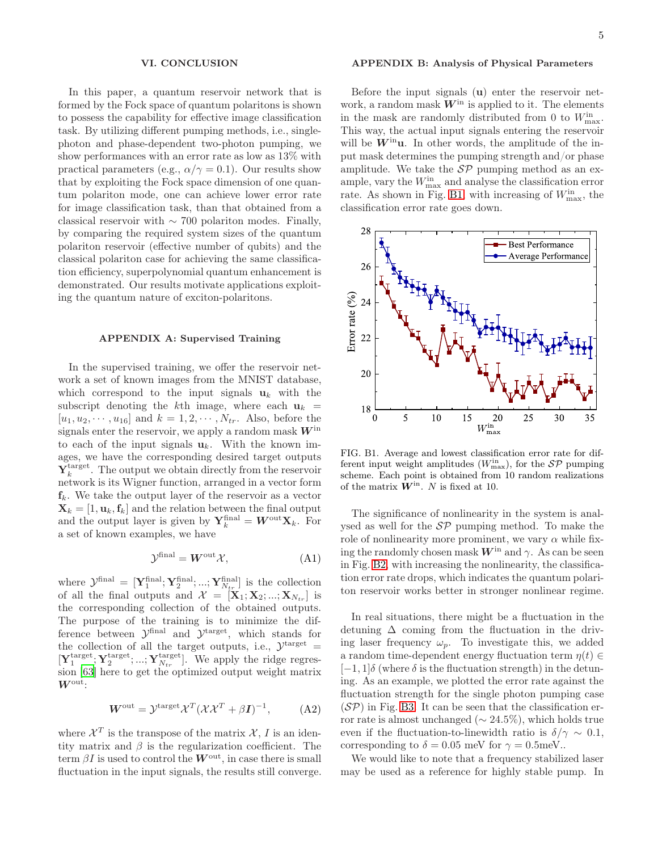#### VI. CONCLUSION

In this paper, a quantum reservoir network that is formed by the Fock space of quantum polaritons is shown to possess the capability for effective image classification task. By utilizing different pumping methods, i.e., singlephoton and phase-dependent two-photon pumping, we show performances with an error rate as low as 13% with practical parameters (e.g.,  $\alpha/\gamma = 0.1$ ). Our results show that by exploiting the Fock space dimension of one quantum polariton mode, one can achieve lower error rate for image classification task, than that obtained from a classical reservoir with  $\sim$  700 polariton modes. Finally, by comparing the required system sizes of the quantum polariton reservoir (effective number of qubits) and the classical polariton case for achieving the same classification efficiency, superpolynomial quantum enhancement is demonstrated. Our results motivate applications exploiting the quantum nature of exciton-polaritons.

### APPENDIX A: Supervised Training

In the supervised training, we offer the reservoir network a set of known images from the MNIST database, which correspond to the input signals  $\mathbf{u}_k$  with the subscript denoting the k<sup>th</sup> image, where each  $\mathbf{u}_k =$  $[u_1, u_2, \cdots, u_{16}]$  and  $k = 1, 2, \cdots, N_{tr}$ . Also, before the signals enter the reservoir, we apply a random mask  $W^{\text{in}}$ to each of the input signals  $\mathbf{u}_k$ . With the known images, we have the corresponding desired target outputs  $\mathbf{Y}_{k}^{\text{target}}$ . The output we obtain directly from the reservoir network is its Wigner function, arranged in a vector form  $f_k$ . We take the output layer of the reservoir as a vector  $\mathbf{X}_k = [1, \mathbf{u}_k, \mathbf{f}_k]$  and the relation between the final output and the output layer is given by  $\mathbf{Y}_k^{\text{final}} = \mathbf{W}^{\text{out}} \mathbf{X}_k$ . For a set of known examples, we have

$$
\mathcal{Y}^{\text{final}} = \mathbf{W}^{\text{out}} \mathcal{X},\tag{A1}
$$

where  $\mathcal{Y}^{\text{final}} = [\mathbf{Y}_{1}^{\text{final}}; \mathbf{Y}_{2}^{\text{final}}; ...; \mathbf{Y}_{N_{tr}}^{\text{final}}]$  is the collection of all the final outputs and  $\mathcal{X} = [\mathbf{X}_1; \mathbf{X}_2; ...; \mathbf{X}_{N_{tr}}]$  is the corresponding collection of the obtained outputs. The purpose of the training is to minimize the difference between  $\mathcal{Y}^{\text{final}}$  and  $\mathcal{Y}^{\text{target}}$ , which stands for the collection of all the target outputs, i.e.,  $\mathcal{Y}^{\text{target}} =$  $[\mathbf{Y}^{\text{target}}_1; \mathbf{Y}^{\text{target}}_2; ...; \mathbf{Y}^{\text{target}}_{N_{tr}}]$ . We apply the ridge regression [\[63](#page-8-5)] here to get the optimized output weight matrix Wout:

$$
W^{\text{out}} = \mathcal{Y}^{\text{target}} \mathcal{X}^T (\mathcal{X} \mathcal{X}^T + \beta I)^{-1}, \tag{A2}
$$

where  $\mathcal{X}^T$  is the transpose of the matrix  $\mathcal{X}, I$  is an identity matrix and  $\beta$  is the regularization coefficient. The term  $\beta I$  is used to control the  $W^{\text{out}}$ , in case there is small fluctuation in the input signals, the results still converge.

#### APPENDIX B: Analysis of Physical Parameters

Before the input signals (u) enter the reservoir network, a random mask  $W<sup>in</sup>$  is applied to it. The elements in the mask are randomly distributed from 0 to  $W_{\text{max}}^{\text{in}}$ . This way, the actual input signals entering the reservoir will be  $W^{\text{in}}$ u. In other words, the amplitude of the input mask determines the pumping strength and/or phase amplitude. We take the  $\mathcal{SP}$  pumping method as an example, vary the  $W_{\text{max}}^{\text{in}}$  and analyse the classification error rate. As shown in Fig. [B1,](#page-6-12) with increasing of  $W_{\text{max}}^{\text{in}}$ , the classification error rate goes down.



FIG. B1. Average and lowest classification error rate for different input weight amplitudes  $(W_{\text{max}}^{\text{in}})$ , for the  $\mathcal{SP}$  pumping scheme. Each point is obtained from 10 random realizations of the matrix  $\hat{\mathbf{W}}^{\text{in}}$ . N is fixed at 10.

The significance of nonlinearity in the system is analysed as well for the  $\mathcal{SP}$  pumping method. To make the role of nonlinearity more prominent, we vary  $\alpha$  while fixing the randomly chosen mask  $W^{\text{in}}$  and  $\gamma$ . As can be seen in Fig. [B2,](#page-5-0) with increasing the nonlinearity, the classification error rate drops, which indicates the quantum polariton reservoir works better in stronger nonlinear regime.

In real situations, there might be a fluctuation in the detuning  $\Delta$  coming from the fluctuation in the driving laser frequency  $\omega_p$ . To investigate this, we added a random time-dependent energy fluctuation term  $\eta(t) \in$  $[-1, 1]\delta$  (where  $\delta$  is the fluctuation strength) in the detuning. As an example, we plotted the error rate against the fluctuation strength for the single photon pumping case  $(SP)$  in Fig. [B3.](#page-5-1) It can be seen that the classification error rate is almost unchanged ( $\sim$  24.5%), which holds true even if the fluctuation-to-linewidth ratio is  $\delta/\gamma \sim 0.1$ , corresponding to  $\delta = 0.05$  meV for  $\gamma = 0.5$ meV..

We would like to note that a frequency stabilized laser may be used as a reference for highly stable pump. In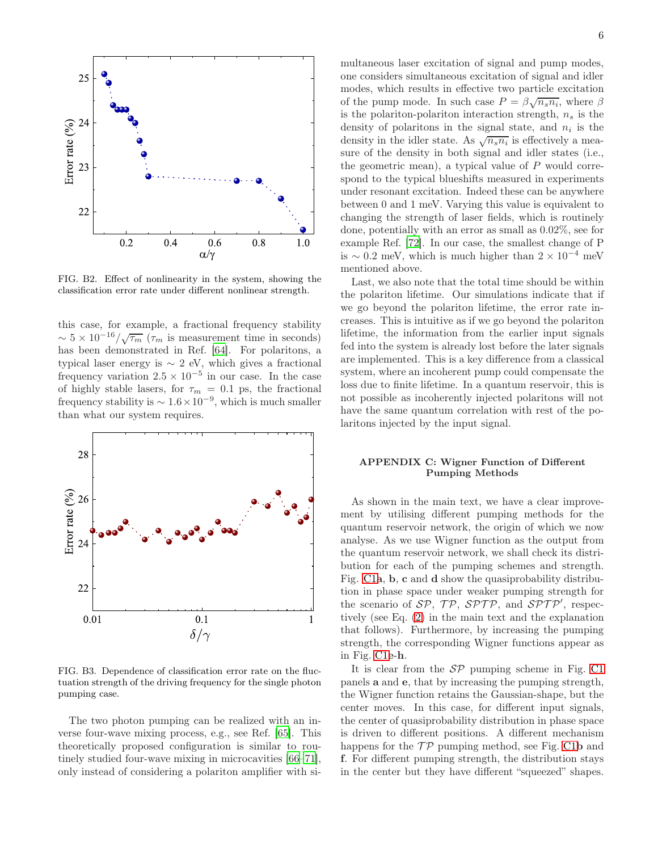

<span id="page-5-0"></span>FIG. B2. Effect of nonlinearity in the system, showing the classification error rate under different nonlinear strength.

this case, for example, a fractional frequency stability  $\sim 5 \times 10^{-16}/\sqrt{\tau_m}$  ( $\tau_m$  is measurement time in seconds) has been demonstrated in Ref. [\[64\]](#page-8-6). For polaritons, a typical laser energy is  $\sim 2$  eV, which gives a fractional frequency variation  $2.5 \times 10^{-5}$  in our case. In the case of highly stable lasers, for  $\tau_m = 0.1$  ps, the fractional frequency stability is  $\sim 1.6 \times 10^{-9}$ , which is much smaller than what our system requires.



<span id="page-5-1"></span>FIG. B3. Dependence of classification error rate on the fluctuation strength of the driving frequency for the single photon pumping case.

The two photon pumping can be realized with an inverse four-wave mixing process, e.g., see Ref. [\[65\]](#page-8-7). This theoretically proposed configuration is similar to routinely studied four-wave mixing in microcavities [\[66](#page-8-8)[–71\]](#page-8-9), only instead of considering a polariton amplifier with simultaneous laser excitation of signal and pump modes, one considers simultaneous excitation of signal and idler modes, which results in effective two particle excitation of the pump mode. In such case  $P = \beta \sqrt{n_s n_i}$ , where  $\beta$ is the polariton-polariton interaction strength,  $n<sub>s</sub>$  is the density of polaritons in the signal state, and  $n_i$  is the density in the idler state. As  $\sqrt{n_s n_i}$  is effectively a measure of the density in both signal and idler states (i.e., the geometric mean), a typical value of  $P$  would correspond to the typical blueshifts measured in experiments under resonant excitation. Indeed these can be anywhere between 0 and 1 meV. Varying this value is equivalent to changing the strength of laser fields, which is routinely done, potentially with an error as small as 0.02%, see for example Ref. [\[72\]](#page-8-10). In our case, the smallest change of P

Last, we also note that the total time should be within the polariton lifetime. Our simulations indicate that if we go beyond the polariton lifetime, the error rate increases. This is intuitive as if we go beyond the polariton lifetime, the information from the earlier input signals fed into the system is already lost before the later signals are implemented. This is a key difference from a classical system, where an incoherent pump could compensate the loss due to finite lifetime. In a quantum reservoir, this is not possible as incoherently injected polaritons will not have the same quantum correlation with rest of the polaritons injected by the input signal.

is  $\sim 0.2$  meV, which is much higher than  $2 \times 10^{-4}$  meV

mentioned above.

## APPENDIX C: Wigner Function of Different Pumping Methods

As shown in the main text, we have a clear improvement by utilising different pumping methods for the quantum reservoir network, the origin of which we now analyse. As we use Wigner function as the output from the quantum reservoir network, we shall check its distribution for each of the pumping schemes and strength. Fig. [C1](#page-6-12)a, b, c and d show the quasiprobability distribution in phase space under weaker pumping strength for the scenario of  $SP$ ,  $TP$ ,  $SPTP$ , and  $SPTP'$ , respectively (see Eq. [\(2\)](#page-1-0) in the main text and the explanation that follows). Furthermore, by increasing the pumping strength, the corresponding Wigner functions appear as in Fig. [C1](#page-6-12)e-h.

It is clear from the  $\mathcal{SP}$  pumping scheme in Fig. [C1](#page-6-12) panels a and e, that by increasing the pumping strength, the Wigner function retains the Gaussian-shape, but the center moves. In this case, for different input signals, the center of quasiprobability distribution in phase space is driven to different positions. A different mechanism happens for the  $\mathcal{TP}$  pumping method, see Fig. [C1](#page-6-12)b and f. For different pumping strength, the distribution stays in the center but they have different "squeezed" shapes.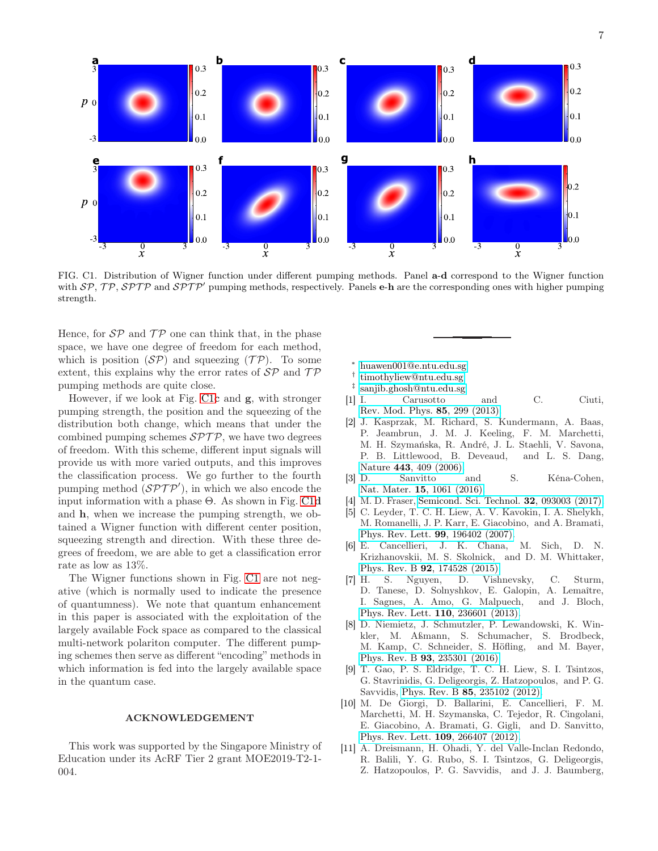

<span id="page-6-12"></span>FIG. C1. Distribution of Wigner function under different pumping methods. Panel a-d correspond to the Wigner function with  $\mathcal{SP}, \mathcal{TP}, \mathcal{SPTP}$  and  $\mathcal{SPTP}'$  pumping methods, respectively. Panels e-h are the corresponding ones with higher pumping strength.

Hence, for  $\mathcal{SP}$  and  $\mathcal{TP}$  one can think that, in the phase space, we have one degree of freedom for each method, which is position  $(S\mathcal{P})$  and squeezing  $(T\mathcal{P})$ . To some extent, this explains why the error rates of  $\mathcal{SP}$  and  $\mathcal{TP}$ pumping methods are quite close.

However, if we look at Fig. [C1](#page-6-12)c and g, with stronger pumping strength, the position and the squeezing of the distribution both change, which means that under the combined pumping schemes  $SPTP$ , we have two degrees of freedom. With this scheme, different input signals will provide us with more varied outputs, and this improves the classification process. We go further to the fourth pumping method  $(\mathcal{SPTP}^{\prime}),$  in which we also encode the input information with a phase  $\Theta$ . As shown in Fig. [C1](#page-6-12)d and h, when we increase the pumping strength, we obtained a Wigner function with different center position, squeezing strength and direction. With these three degrees of freedom, we are able to get a classification error rate as low as 13%.

The Wigner functions shown in Fig. [C1](#page-6-12) are not negative (which is normally used to indicate the presence of quantumness). We note that quantum enhancement in this paper is associated with the exploitation of the largely available Fock space as compared to the classical multi-network polariton computer. The different pumping schemes then serve as different "encoding" methods in which information is fed into the largely available space in the quantum case.

#### ACKNOWLEDGEMENT

This work was supported by the Singapore Ministry of Education under its AcRF Tier 2 grant MOE2019-T2-1- 004.

- ∗ [huawen001@e.ntu.edu.sg](mailto:huawen001@e.ntu.edu.sg)
- <span id="page-6-0"></span>† [timothyliew@ntu.edu.sg](mailto:timothyliew@ntu.edu.sg)
- <span id="page-6-2"></span><span id="page-6-1"></span>‡ [sanjib.ghosh@ntu.edu.sg](mailto:sanjib.ghosh@ntu.edu.sg)
- <span id="page-6-3"></span>[1] I. Carusotto and C. Ciuti, [Rev. Mod. Phys.](http://dx.doi.org/10.1103/RevModPhys.85.299) 85, 299 (2013).
- <span id="page-6-4"></span>[2] J. Kasprzak, M. Richard, S. Kundermann, A. Baas, P. Jeambrun, J. M. J. Keeling, F. M. Marchetti, M. H. Szymańska, R. André, J. L. Staehli, V. Savona, P. B. Littlewood, B. Deveaud, and L. S. Dang, Nature 443[, 409 \(2006\).](http://dx.doi.org/10.1038/nature05131)
- <span id="page-6-5"></span>[3] D. Sanvitto and S. Kéna-Cohen, Nat. Mater. 15[, 1061 \(2016\).](http://dx.doi.org/10.1038/nmat4668)
- <span id="page-6-6"></span>[4] M. D. Fraser, [Semicond. Sci. Technol.](http://dx.doi.org/10.1088/1361-6641/aa730c) 32, 093003 (2017).
- <span id="page-6-7"></span>[5] C. Leyder, T. C. H. Liew, A. V. Kavokin, I. A. Shelykh, M. Romanelli, J. P. Karr, E. Giacobino, and A. Bramati, [Phys. Rev. Lett.](http://dx.doi.org/ 10.1103/PhysRevLett.99.196402) **99**, 196402 (2007).<br>E. Cancellieri, J. K. Chana, M. Sich, D. N.
- <span id="page-6-8"></span> $[6]$  E. Cancellieri, J. K. Chana, Krizhanovskii, M. S. Skolnick, and D. M. Whittaker, Phys. Rev. B 92[, 174528 \(2015\).](http://dx.doi.org/10.1103/PhysRevB.92.174528)
- <span id="page-6-9"></span>[7] H. S. Nguyen, D. Vishnevsky, C. Sturm, D. Tanese, D. Solnyshkov, E. Galopin, A. Lemaître, I. Sagnes, A. Amo, G. Malpuech, and J. Bloch, [Phys. Rev. Lett.](http://dx.doi.org/10.1103/PhysRevLett.110.236601) 110, 236601 (2013).
- <span id="page-6-10"></span>[8] D. Niemietz, J. Schmutzler, P. Lewandowski, K. Winkler, M. Aßmann, S. Schumacher, S. Brodbeck, M. Kamp, C. Schneider, S. Höfling, and M. Bayer, Phys. Rev. B 93[, 235301 \(2016\).](http://dx.doi.org/10.1103/PhysRevB.93.235301)
- <span id="page-6-11"></span>[9] T. Gao, P. S. Eldridge, T. C. H. Liew, S. I. Tsintzos, G. Stavrinidis, G. Deligeorgis, Z. Hatzopoulos, and P. G. Savvidis, Phys. Rev. B 85[, 235102 \(2012\).](http://dx.doi.org/ 10.1103/PhysRevB.85.235102)
- [10] M. De Giorgi, D. Ballarini, E. Cancellieri, F. M. Marchetti, M. H. Szymanska, C. Tejedor, R. Cingolani, E. Giacobino, A. Bramati, G. Gigli, and D. Sanvitto, [Phys. Rev. Lett.](http://dx.doi.org/ 10.1103/PhysRevLett.109.266407) 109, 266407 (2012).
- [11] A. Dreismann, H. Ohadi, Y. del Valle-Inclan Redondo, R. Balili, Y. G. Rubo, S. I. Tsintzos, G. Deligeorgis, Z. Hatzopoulos, P. G. Savvidis, and J. J. Baumberg,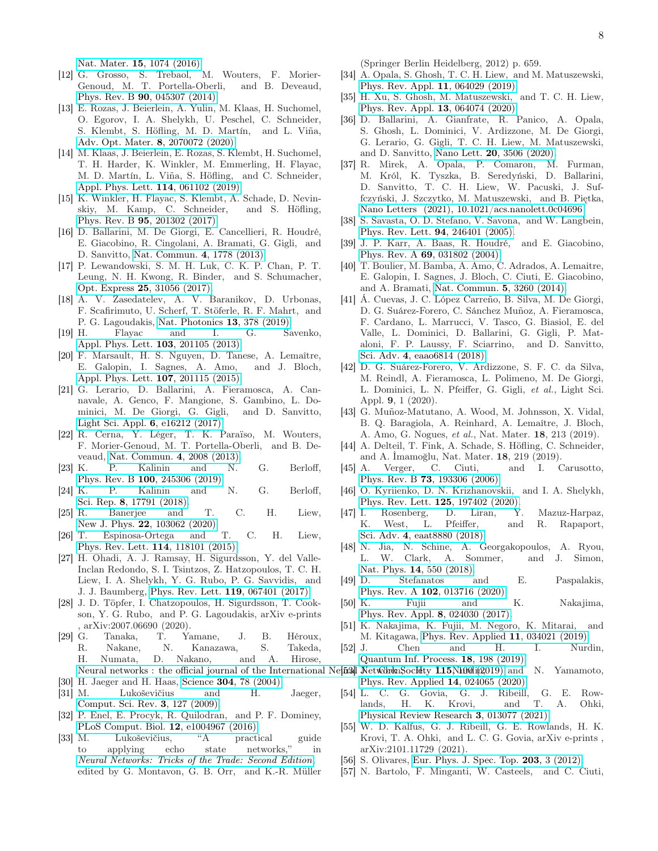Nat. Mater. 15[, 1074 \(2016\).](http://dx.doi.org/ 10.1038/nmat4722)

- <span id="page-7-0"></span>[12] G. Grosso, S. Trebaol, M. Wouters, F. Morier-Genoud, M. T. Portella-Oberli, and B. Deveaud, Phys. Rev. B 90[, 045307 \(2014\).](http://dx.doi.org/ 10.1103/PhysRevB.90.045307)
- <span id="page-7-1"></span>[13] E. Rozas, J. Beierlein, A. Yulin, M. Klaas, H. Suchomel, O. Egorov, I. A. Shelykh, U. Peschel, C. Schneider, S. Klembt, S. Höfling, M. D. Martín, and L. Viña, [Adv. Opt. Mater.](http://dx.doi.org/ https://doi.org/10.1002/adom.202070072) 8, 2070072 (2020).
- <span id="page-7-2"></span>[14] M. Klaas, J. Beierlein, E. Rozas, S. Klembt, H. Suchomel, T. H. Harder, K. Winkler, M. Emmerling, H. Flayac, M. D. Martín, L. Viña, S. Höfling, and C. Schneider, [Appl. Phys. Lett.](http://dx.doi.org/10.1063/1.5067247) 114, 061102 (2019).
- <span id="page-7-3"></span>[15] K. Winkler, H. Flayac, S. Klembt, A. Schade, D. Nevinskiy, M. Kamp, C. Schneider, and S. Höfling, Phys. Rev. B 95[, 201302 \(2017\).](http://dx.doi.org/ 10.1103/PhysRevB.95.201302)
- <span id="page-7-4"></span>[16] D. Ballarini, M. De Giorgi, E. Cancellieri, R. Houdré, E. Giacobino, R. Cingolani, A. Bramati, G. Gigli, and D. Sanvitto, [Nat. Commun.](http://dx.doi.org/ 10.1038/ncomms2734) 4, 1778 (2013).
- [17] P. Lewandowski, S. M. H. Luk, C. K. P. Chan, P. T. Leung, N. H. Kwong, R. Binder, and S. Schumacher, Opt. Express 25[, 31056 \(2017\).](http://dx.doi.org/ 10.1364/OE.25.031056)
- <span id="page-7-5"></span>[18] A. V. Zasedatelev, A. V. Baranikov, D. Urbonas, F. Scafirimuto, U. Scherf, T. Stöferle, R. F. Mahrt, and P. G. Lagoudakis, [Nat. Photonics](http://dx.doi.org/ 10.1038/s41566-019-0392-8) 13, 378 (2019).
- <span id="page-7-6"></span>[19] H. Flayac and I. G. Savenko, [Appl. Phys. Lett.](http://dx.doi.org/10.1063/1.4830007) 103, 201105 (2013).
- <span id="page-7-7"></span>[20] F. Marsault, H. S. Nguyen, D. Tanese, A. Lemaître, E. Galopin, I. Sagnes, A. Amo, and J. Bloch, [Appl. Phys. Lett.](http://dx.doi.org/10.1063/1.4936158) 107, 201115 (2015).
- <span id="page-7-8"></span>[21] G. Lerario, D. Ballarini, A. Fieramosca, A. Cannavale, A. Genco, F. Mangione, S. Gambino, L. Dominici, M. De Giorgi, G. Gigli, and D. Sanvitto, [Light Sci. Appl.](http://dx.doi.org/10.1038/lsa.2016.212) 6, e16212 (2017).
- <span id="page-7-9"></span>[22] R. Cerna, Y. Léger, T. K. Paraïso, M. Wouters, F. Morier-Genoud, M. T. Portella-Oberli, and B. Deveaud, [Nat. Commun.](http://dx.doi.org/ 10.1038/ncomms3008) 4, 2008 (2013).
- <span id="page-7-10"></span>[23] K. P. Kalinin and N. G. Berloff, Phys. Rev. B 100[, 245306 \(2019\).](http://dx.doi.org/10.1103/PhysRevB.100.245306)
- <span id="page-7-11"></span>[24] K. P. Kalinin and N. G. Berloff, Sci. Rep. 8[, 17791 \(2018\).](http://dx.doi.org/10.1038/s41598-018-35416-1)
- <span id="page-7-12"></span>[25] R. Banerjee and T. C. H. Liew, New J. Phys. 22[, 103062 \(2020\).](http://dx.doi.org/10.1088/1367-2630/abc290)
- <span id="page-7-13"></span>[26] T. Espinosa-Ortega and T. C. H. Liew, [Phys. Rev. Lett.](http://dx.doi.org/10.1103/PhysRevLett.114.118101) 114, 118101 (2015).
- <span id="page-7-14"></span>[27] H. Ohadi, A. J. Ramsay, H. Sigurdsson, Y. del Valle-Inclan Redondo, S. I. Tsintzos, Z. Hatzopoulos, T. C. H. Liew, I. A. Shelykh, Y. G. Rubo, P. G. Savvidis, and J. J. Baumberg, [Phys. Rev. Lett.](http://dx.doi.org/ 10.1103/PhysRevLett.119.067401) 119, 067401 (2017).
- <span id="page-7-15"></span>[28] J. D. Töpfer, I. Chatzopoulos, H. Sigurdsson, T. Cookson, Y. G. Rubo, and P. G. Lagoudakis, arXiv e-prints , arXiv:2007.06690 (2020).
- <span id="page-7-16"></span>[29] G. Tanaka, T. Yamane, J. B. Héroux, R. Nakane, N. Kanazawa, S. Takeda, H. Numata, D. Nakano, and A. Hirose,
- <span id="page-7-17"></span>[30] H. Jaeger and H. Haas, Science **304**[, 78 \(2004\).](http://dx.doi.org/10.1126/science.1091277)
- [31] M. Lukoševičius and H. Jaeger, [Comput. Sci. Rev.](http://dx.doi.org/ https://doi.org/10.1016/j.cosrev.2009.03.005) 3, 127 (2009).
- <span id="page-7-18"></span>[32] P. Enel, E. Procyk, R. Quilodran, and P. F. Dominey, [PLoS Comput. Biol.](https://doi.org/10.1371/journal.pcbi.1004967) 12, e1004967 (2016).
- <span id="page-7-19"></span>[33] M. Lukoševičius, "A practical guide to applying echo state networks," in [Neural Networks: Tricks of the Trade: Second Edition](http://dx.doi.org/ 10.1007/978-3-642-35289-8{_}36), edited by G. Montavon, G. B. Orr, and K.-R. Müller

(Springer Berlin Heidelberg, 2012) p. 659.

- <span id="page-7-20"></span>[34] A. Opala, S. Ghosh, T. C. H. Liew, and M. Matuszewski, [Phys. Rev. Appl.](http://dx.doi.org/10.1103/PhysRevApplied.11.064029) 11, 064029 (2019).
- <span id="page-7-21"></span>[35] H. Xu, S. Ghosh, M. Matuszewski, and T. C. H. Liew, [Phys. Rev. Appl.](http://dx.doi.org/ 10.1103/PhysRevApplied.13.064074) 13, 064074 (2020).
- <span id="page-7-22"></span>[36] D. Ballarini, A. Gianfrate, R. Panico, A. Opala, S. Ghosh, L. Dominici, V. Ardizzone, M. De Giorgi, G. Lerario, G. Gigli, T. C. H. Liew, M. Matuszewski, and D. Sanvitto, Nano Lett. 20[, 3506 \(2020\).](http://dx.doi.org/10.1021/acs.nanolett.0c00435)
- <span id="page-7-23"></span>[37] R. Mirek, A. Opala, P. Comaron, M. Furman, M. Król, K. Tyszka, B. Seredyński, D. Ballarini, D. Sanvitto, T. C. H. Liew, W. Pacuski, J. Suffczyński, J. Szczytko, M. Matuszewski, and B. Piętka, [Nano Letters \(2021\), 10.1021/acs.nanolett.0c04696.](http://dx.doi.org/10.1021/acs.nanolett.0c04696)
- <span id="page-7-24"></span>[38] S. Savasta, O. D. Stefano, V. Savona, and W. Langbein, [Phys. Rev. Lett.](http://dx.doi.org/10.1103/PhysRevLett.94.246401) 94, 246401 (2005).
- <span id="page-7-25"></span>[39] J. P. Karr, A. Baas, R. Houdré, and E. Giacobino, Phys. Rev. A 69[, 031802 \(2004\).](http://dx.doi.org/ 10.1103/PhysRevA.69.031802)
- <span id="page-7-26"></span>[40] T. Boulier, M. Bamba, A. Amo, C. Adrados, A. Lemaitre, E. Galopin, I. Sagnes, J. Bloch, C. Ciuti, E. Giacobino, and A. Bramati, [Nat. Commun.](http://dx.doi.org/10.1038/ncomms4260) 5, 3260 (2014).
- <span id="page-7-27"></span>[41] Á. Cuevas, J. C. López Carreño, B. Silva, M. De Giorgi, D. G. Suárez-Forero, C. Sánchez Muñoz, A. Fieramosca, F. Cardano, L. Marrucci, V. Tasco, G. Biasiol, E. del Valle, L. Dominici, D. Ballarini, G. Gigli, P. Mataloni, F. P. Laussy, F. Sciarrino, and D. Sanvitto, Sci. Adv. 4[, eaao6814 \(2018\).](http://dx.doi.org/10.1126/sciadv.aao6814)
- <span id="page-7-28"></span>[42] D. G. Suárez-Forero, V. Ardizzone, S. F. C. da Silva, M. Reindl, A. Fieramosca, L. Polimeno, M. De Giorgi, L. Dominici, L. N. Pfeiffer, G. Gigli, et al., Light Sci. Appl. 9, 1 (2020).
- <span id="page-7-29"></span>[43] G. Muñoz-Matutano, A. Wood, M. Johnsson, X. Vidal, B. Q. Baragiola, A. Reinhard, A. Lemaître, J. Bloch, A. Amo, G. Nogues, et al., Nat. Mater. 18, 213 (2019).
- <span id="page-7-30"></span>[44] A. Delteil, T. Fink, A. Schade, S. Höfling, C. Schneider, and A. İmamoğlu, Nat. Mater. 18, 219 (2019).
- <span id="page-7-31"></span>[45] A. Verger, C. Ciuti, and I. Carusotto, Phys. Rev. B 73[, 193306 \(2006\).](http://dx.doi.org/10.1103/PhysRevB.73.193306)
- <span id="page-7-32"></span>[46] O. Kyriienko, D. N. Krizhanovskii, and I. A. Shelykh, [Phys. Rev. Lett.](http://dx.doi.org/10.1103/PhysRevLett.125.197402) 125, 197402 (2020).
- [47] I. Rosenberg, D. Liran, Y. Mazuz-Harpaz, K. West, L. Pfeiffer, and R. Rapaport, Sci. Adv. 4[, eaat8880 \(2018\).](http://dx.doi.org/ 10.1126/sciadv.aat8880)
- [48] N. Jia, N. Schine, A. Georgakopoulos, A. Ryou, L. W. Clark, A. Sommer, and J. Simon, Nat. Phys. 14[, 550 \(2018\).](http://dx.doi.org/ 10.1038/s41567-018-0071-6)
- <span id="page-7-33"></span>[49] D. Stefanatos and E. Paspalakis, Phys. Rev. A 102[, 013716 \(2020\).](http://dx.doi.org/10.1103/PhysRevA.102.013716)
- <span id="page-7-34"></span>[50] K. Fujii and K. Nakajima, [Phys. Rev. Appl.](http://dx.doi.org/10.1103/PhysRevApplied.8.024030) 8, 024030 (2017).
- [51] K. Nakajima, K. Fujii, M. Negoro, K. Mitarai, and M. Kitagawa, [Phys. Rev. Applied](http://dx.doi.org/ 10.1103/PhysRevApplied.11.034021) 11, 034021 (2019).
- <span id="page-7-39"></span><span id="page-7-38"></span><span id="page-7-37"></span><span id="page-7-36"></span><span id="page-7-35"></span>[52] J. Chen and H. I. Nurdin, [Quantum Inf. Process.](http://dx.doi.org/10.1007/s11128-019-2311-9) 18, 198 (2019).
- Neural networks : the official journal of the International Nel<del>iial</del>l Networkhen, Society 1.15, Nu00li(2019). and N. Yamamoto, [Phys. Rev. Applied](http://dx.doi.org/10.1103/PhysRevApplied.14.024065) 14, 024065 (2020).
	- [54] L. C. G. Govia, G. J. Ribeill, G. E. Rowlands, H. K. Krovi, and T. A. Ohki, [Physical Review Research](http://dx.doi.org/10.1103/PhysRevResearch.3.013077) 3, 013077 (2021).
	- [55] W. D. Kalfus, G. J. Ribeill, G. E. Rowlands, H. K. Krovi, T. A. Ohki, and L. C. G. Govia, arXiv e-prints , arXiv:2101.11729 (2021).
	- [56] S. Olivares, [Eur. Phys. J. Spec. Top.](http://dx.doi.org/10.1140/epjst/e2012-01532-4) **203**, 3 (2012).
	- [57] N. Bartolo, F. Minganti, W. Casteels, and C. Ciuti,